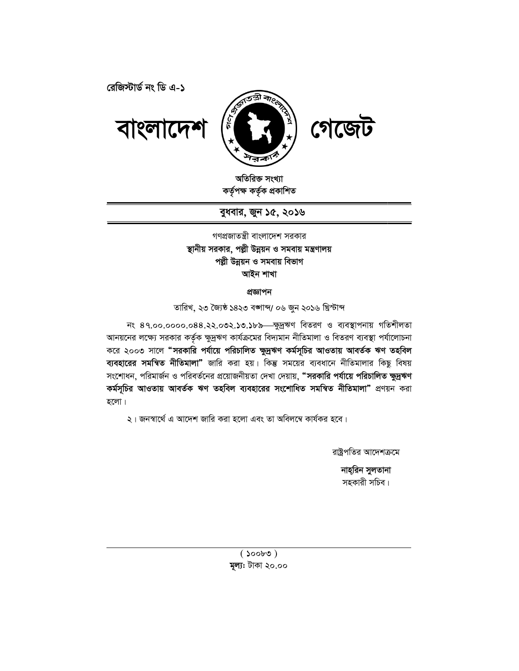**†iwR÷vW© bs wW G-1**



অতিরিক্ত সংখ্যা কৰ্তৃপক্ষ কৰ্তৃক প্ৰকাশিত

বুধবার, জুন ১৫, ২০**১**৬

স্থানীয় সরকার, পল্লী উন্নয়ন ও সমবায় মন্ত্রণালয় গণপ্রজাতন্ত্রী বাংলাদেশ সরকার পল্লী উন্নয়ন ও সমবায় বিভাগ **আইন শাখা** 

প্ৰজ্ঞাপন

তারিখ, ২৩ জ্যৈষ্ঠ ১৪২৩ বঙ্গাব্দ/ ০৬ জুন ২০১৬ খ্রিস্টাব্দ

নং ৪৭.০০.০০০০.০৪৪.২২.০৩২.১৩.১৮৯—ক্ষুদ্ৰঋণ বিতরণ ও ব্যবস্থাপনায় গতিশীলতা আনয়নের লক্ষ্যে সরকার কর্তৃক ক্ষুদ্রঋণ কার্যক্রমের বিদ্যমান নীতিমালা ও বিতরণ ব্যবস্থা পর্যালোচনা করে ২০০৩ সালে **"সরকারি পর্যায়ে পরিচালিত ক্ষুদ্রঋণ কর্মসূচির আওতায় আবর্তক ঋণ <mark>তহ</mark>বিল** করে ২০০৩ সালে **"সরকারি পর্যায়ে পরিচালিত ক্ষুদ্রঋণ কর্মসূচির আওতায় আবর্তক ঋণ তহবিল<br><mark>ব্যবহারের সমন্বিত নীতিমালা"</mark> জারি করা হয়। কিন্তু সময়ের ব্যবধানে নীতিমালার কিছু বিষয়** সংশোধন, পরিমার্জন ও পরিবর্তনের প্রয়োজনীয়তা দেখা দেয়ায়, **"সরকারি পর্যায়ে পরিচালিত ক্ষুদ্রঋণ কৰ্মসূচির আওতায় আবৰ্তক ঋণ তহবিল ব্যবহারের সংশোধিত সমন্বিত <mark>নীতিমালা"</mark> প্রণয়ন করা** হলো। কিম্ভ সময়ের ব্যবধানে নীতিমালার কিছু বিষয়<br>দখা দেয়ায়, "সরকারি পর্যায়ে পরিচালিত ক্ষুদ্রঋণ<br>রে সংশোধিত সমন্বিত নীতিমালা" প্রণয়ন করা<br>তা অবিলম্বে কার্যকর হবে।<br>স্ট্রেপতির আদেশক্রমে

২। জনস্বার্থে এ আদেশ জারি করা হলো এবং তা অবিলম্বে কার্যকর হবে।

রাষ্ট্রপতির আদেশক্রমে

নাহ্রিন সুলতানা স্হকারী সচিব।<br>সহকারী সচিব।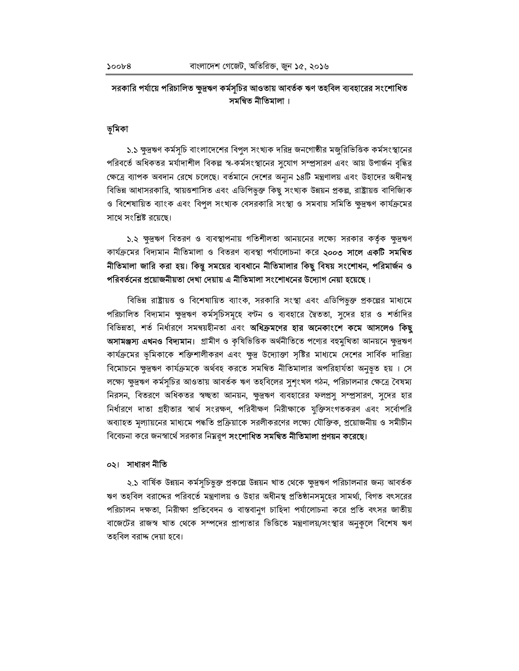# সরকারি পর্যায়ে পরিচালিত ক্ষুদ্রঋণ কর্মসূচির আওতায় আবর্তক ঋণ তহবিল ব্যবহারের সংশোধিত সমন্বিত নীতিমালা ।

## ভূমিকা

১.১ ক্ষুদ্রঋণ কর্মসূচি বাংলাদেশের বিপুল সংখ্যক দরিদ্র জনগোষ্ঠীর মজুরিভিত্তিক কর্মসংস্থানের পরিবর্তে অধিকতর মর্যাদাশীল বিকল্প স্ব-কর্মসংস্থানের সুযোগ সম্প্রসারণ এবং আয় উপার্জন বৃদ্ধির ক্ষেত্রে ব্যাপক অবদান রেখে চলেছে। বর্তমানে দেশের অন্যুন ১৪টি মন্ত্রণালয় এবং উহাদের অধীনস্থ বিভিন্ন আধাসরকারি, স্বায়ত্তশাসিত এবং এডিপিভুক্ত কিছু সংখ্যক উন্নয়ন প্রকল্প, রাষ্ট্রায়ত্ত বাণিজ্যিক ও বিশেষায়িত ব্যাংক এবং বিপুল সংখ্যক বেসরকারি সংস্থা ও সমবায় সমিতি ক্ষুদ্রঋণ কার্যক্রমের সাথে সংশ্লিষ্ট রয়েছে।

১.২ ক্ষুদ্রঋণ বিতরণ ও ব্যবস্থাপনায় গতিশীলতা আনয়নের লক্ষ্যে সরকার কর্তৃক ক্ষুদ্রঋণ কাৰ্যক্ৰমের বিদ্যমান নীতিমালা ও বিতরণ ব্যবস্থা পর্যালোচনা করে **২০০৩ সালে একটি সমন্বিত** নীতিমালা জারি করা হয়। কিন্তু সময়ের ব্যবধানে নীতিমালার কিছু বিষয় সংশোধন, পরিমার্জন ও পরিবর্তনের প্রয়োজনীয়তা দেখা দেয়ায় এ নীতিমালা সংশোধনের উদ্যোগ নেয়া হয়েছে।

বিভিন্ন রাষ্ট্রায়ত ও বিশেষায়িত ব্যাংক, সরকারি সংস্থা এবং এডিপিভ়ক্ত প্রকল্পের মাধ্যমে পরিচালিত বিদ্যমান ক্ষুদ্রঋণ কর্মসূচিসমূহে বণ্টন ও ব্যবহারে দ্বৈততা, সুদের হার ও শর্তাদির বিভিন্নতা, শর্ত নির্ধারণে সমন্বয়হীনতা এবং **অধিক্রমণের হার অনেকাংশে কমে আসলেও কিছু** অসামঞ্জস্য এখনও বিদ্যমান। গ্রামীণ ও কৃষিভিত্তিক অর্থনীতিতে পণ্যের বহুমুখিতা আনয়নে ক্ষদ্রঋণ কার্যক্রমের ভূমিকাকে শক্তিশালীকরণ এবং ক্ষুদ্র উদ্যোক্তা সৃষ্টির মাধ্যমে দেশের সার্বিক দারিদ্র্য বিমোচনে ক্ষুদ্রঋণ কার্যক্রমকে অর্থবহ করতে সমন্বিত নীতিমালার অপরিহার্যতা অনুভূত হয় । সে লক্ষ্যে ক্ষুদ্রঋণ কর্মসূচির আওতায় আবর্তক ঋণ তহবিলের সুশৃংখল গঠন, পরিচালনার ক্ষেত্রে বৈষম্য নিরসন, বিতরণে অধিকতর স্বচ্ছতা আনয়ন, ক্ষুদ্রঋণ ব্যবহারের ফলপ্রসূ সম্প্রসারণ, সুদের হার নির্ধারণে দাতা গ্রহীতার স্বার্থ সংরক্ষণ, পরিবীক্ষণ নিরীক্ষাকে যুক্তিসংগতকরণ এবং সর্বোপরি অব্যাহত মল্যায়নের মাধ্যমে পদ্ধতি প্রক্রিয়াকে সরলীকরণের লক্ষ্যে যৌক্তিক, প্রয়োজনীয় ও সমীচীন বিবেচনা করে জনস্বার্থে সরকার নিম্নরূপ **সংশোধিত সমন্বিত নীতিমালা প্রণয়ন করেছে।** 

### ০২। সাধারণ নীতি

২.১ বার্ষিক উন্নয়ন কর্মসূচিভুক্ত প্রকল্পে উন্নয়ন খাত থেকে ক্ষুদ্রঋণ পরিচালনার জন্য আবর্তক ঋণ তহবিল বরাদ্দের পরিবর্তে মন্ত্রণালয় ও উহার অধীনস্থ প্রতিষ্ঠানসমূহের সামর্থ্য, বিগত বৎসরের পরিচালন দক্ষতা, নিরীক্ষা প্রতিবেদন ও বাস্তবানুগ চাহিদা পর্যালোচনা করে প্রতি বৎসর জাতীয় বাজেটের রাজস্ব খাত থেকে সম্পদের প্রাপ্যতার ভিত্তিতে মন্ত্রণালয়/সংস্থার অনুকলে বিশেষ ঋণ তহবিল বরাদ্দ দেয়া হবে।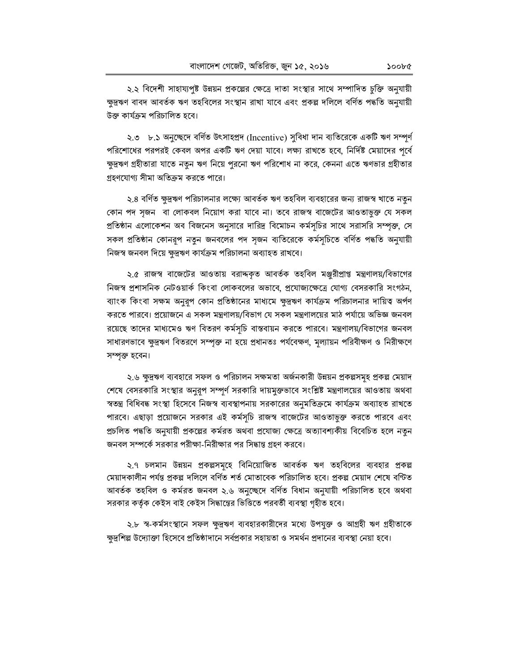২.২ বিদেশী সাহায্যপুষ্ট উন্নয়ন প্রকল্পের ক্ষেত্রে দাতা সংস্থার সাথে সম্পাদিত চুক্তি অনুযায়ী ক্ষুদ্রঋণ বাবদ আবর্তক ঋণ তহবিলের সংস্থান রাখা যাবে এবং প্রকল্প দলিলে বর্ণিত পদ্ধতি অনুযায়ী উক্ত কাৰ্যক্ৰম পরিচালিত হবে।

২.৩ ৮.১ অনুচ্ছেদে বর্ণিত উৎসাহপ্রদ (Incentive) সুবিধা দান ব্যতিরেকে একটি ঋণ সম্পূর্ণ পরিশোধের পরপরই কেবল অপর একটি ঋণ দেয়া যাবে। লক্ষ্য রাখতে হবে, নির্দিষ্ট মেয়াদের পূর্বে ক্ষুদ্রঋণ গ্রহীতারা যাতে নতুন ঋণ নিয়ে পুরনো ঋণ পরিশোধ না করে, কেননা এতে ঋণভার গ্রহীতার গ্রহণযোগ্য সীমা অতিক্রম করতে পারে।

২.৪ বর্ণিত ক্ষুদ্রঋণ পরিচালনার লক্ষ্যে আবর্তক ঋণ তহবিল ব্যবহারের জন্য রাজস্ব খাতে নতুন কোন পদ সৃজন বা লোকবল নিয়োগ করা যাবে না। তবে রাজস্ব বাজেটের আওতাভুক্ত যে সকল প্রতিষ্ঠান এলোকেশন অব বিজনেস অনুসারে দারিদ্র বিমোচন কর্মসূচির সাথে সরাসরি সম্পৃক্ত, সে সকল প্রতিষ্ঠান কোনরূপ নতুন জনবলের পদ সৃজন ব্যতিরেকে কর্মসূচিতে বর্ণিত পদ্ধতি অনুযায়ী নিজস্ব জনবল দিয়ে ক্ষুদ্রঋণ কার্যক্রম পরিচালনা অব্যাহত রাখবে।

২.৫ রাজস্ব বাজেটের আওতায় বরাদ্দকৃত আবর্তক তহবিল মঞ্জুরীপ্রাপ্ত মন্ত্রণালয়/বিভাগের নিজস্ব প্রশাসনিক নেটওয়ার্ক কিংবা লোকবলের অভাবে, প্রযোজ্যক্ষেত্রে যোগ্য বেসরকারি সংগঠন, ব্যাংক কিংবা সক্ষম অনুরূপ কোন প্রতিষ্ঠানের মাধ্যমে ক্ষুদ্রঋণ কার্যক্রম পরিচালনার দায়িত্ব অর্পণ করতে পারবে। প্রয়োজনে এ সকল মন্ত্রণালয়/বিভাগ যে সকল মন্ত্রণালয়ের মাঠ পর্যায়ে অভিজ্ঞ জনবল রয়েছে তাদের মাধ্যমেও ঋণ বিতরণ কর্মসূচি বাস্তবায়ন করতে পারবে। মন্ত্রণালয়/বিভাগের জনবল সাধারণভাবে ক্ষুদ্রঋণ বিতরণে সম্পৃক্ত না হয়ে প্রধানতঃ পর্যবেক্ষণ, মূল্যায়ন পরিবীক্ষণ ও নিরীক্ষণে সম্পৃক্ত হবেন।

২.৬ ক্ষুদ্রঋণ ব্যবহারে সফল ও পরিচালন সক্ষমতা অর্জনকারী উন্নয়ন প্রকল্পসমূহ প্রকল্প মেয়াদ শেষে বেসরকারি সংস্থার অনুরূপ সম্পূর্ণ সরকারি দায়মুক্তভাবে সংশ্লিষ্ট মন্ত্রণালয়ের আওতায় অথবা স্বতন্ত্র বিধিবদ্ধ সংস্থা হিসেবে নিজস্ব ব্যবস্থাপনায় সরকারের অনুমতিক্রমে কার্যক্রম অব্যাহত রাখতে পারবে। এছাড়া প্রয়োজনে সরকার এই কর্মসূচি রাজস্ব বাজেটের আওতাভুক্ত করতে পারবে এবং প্রচলিত পদ্ধতি অনুযায়ী প্রকল্পের কর্মরত অথবা প্রযোজ্য ক্ষেত্রে অত্যাবশ্যকীয় বিবেচিত হলে নতুন জনবল সম্পর্কে সরকার পরীক্ষা-নিরীক্ষার পর সিদ্ধান্ত গ্রহণ করবে।

২.৭ চলমান উন্নয়ন প্রকল্পসমূহে বিনিয়োজিত আবর্তক ঋণ তহবিলের ব্যবহার প্রকল্প মেয়াদকালীন পৰ্যন্ত প্ৰকল্প দলিলে বৰ্ণিত শৰ্ত মোতাবেক পরিচালিত হবে। প্ৰকল্প মেয়াদ শেষে বণ্টিত আবৰ্তক তহবিল ও কৰ্মরত জনবল ২.৬ অনুচ্ছেদে বৰ্ণিত বিধান অনুযায়ী পরিচালিত হবে অথবা সরকার কর্তৃক কেইস বাই কেইস সিদ্ধান্তের ভিত্তিতে পরবর্তী ব্যবস্থা গৃহীত হবে।

২.৮ স্ব-কর্মসংস্থানে সফল ক্ষুদ্রঋণ ব্যবহারকারীদের মধ্যে উপযুক্ত ও আগ্রহী ঋণ গ্রহীতাকে ক্ষুদ্রশিল্প উদ্যোক্তা হিসেবে প্রতিষ্ঠাদানে সর্বপ্রকার সহায়তা ও সমর্থন প্রদানের ব্যবস্থা নেয়া হবে।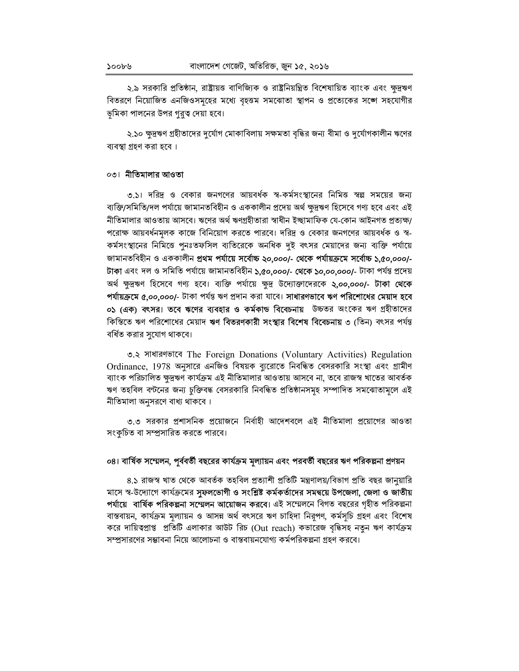২.৯ সরকারি প্রতিষ্ঠান, রাষ্ট্রায়ত্ত বাণিজ্যিক ও রাষ্ট্রনিয়ন্ত্রিত বিশেষায়িত ব্যাংক এবং ক্ষুদ্রঋণ বিতরণে নিয়োজিত এনজিওসমৃহের মধ্যে বৃহত্তম সমঝোতা স্থাপন ও প্রত্যেকের সঙ্গে সহযোগীর ভূমিকা পালনের উপর গুরুত্ব দেয়া হবে।

২.১০ ক্ষুদ্রঋণ গ্রহীতাদের দুর্যোগ মোকাবিলায় সক্ষমতা বৃদ্ধির জন্য বীমা ও দুর্যোগকালীন ঋণের ব্যবস্থা গ্রহণ করা হবে।

## ০৩। নীতিমালার আওতা

৩.১। দরিদ্র ও বেকার জনগণের আয়বর্ধক স্ব-কর্মসংস্থানের নিমিত্ত স্বল্প সময়ের জন্য ব্যক্তি/সমিতি/দল পর্যায়ে জামানতবিহীন ও এককালীন প্রদেয় অর্থ ক্ষুদ্রঋণ হিসেবে গণ্য হবে এবং এই নীতিমালার আওতায় আসবে। ঋণের অর্থ ঋণগ্রহীতারা স্বাধীন ইচ্ছামাফিক যে-কোন আইনগত প্রত্যক্ষ্য পরোক্ষ আয়বর্ধনমূলক কাজে বিনিয়োগ করতে পারবে। দরিদ্র ও বেকার জনগণের আয়বর্ধক ও স্ব-কর্মসংস্থানের নিমিত্তে পুনঃতফসিল ব্যতিরেকে অনধিক দুই বৎসর মেয়াদের জন্য ব্যক্তি পর্যায়ে জামানতবিহীন ও এককালীন প্ৰথম পৰ্যায়ে সৰ্বোচ্চ ২০,০০০/- থেকে পৰ্যায়ক্ৰমে সৰ্বোচ্চ ১,৫০,০০০/-টাকা এবং দল ও সমিতি পর্যায়ে জামানতবিহীন ১,৫০,০০০/- থেকে ১০,০০,০০০/- টাকা পর্যন্ত প্রদেয় অর্থ ক্ষুদ্রঋণ হিসেবে গণ্য হবে। ব্যক্তি পর্যায়ে ক্ষুদ্র উদ্যোক্তাদেরকে **২,০০,০০০/- টাকা থেকে** পর্যায়ক্রমে ৫,০০,০০০/- টাকা পর্যন্ত ঋণ প্রদান করা যাবে। সাধারণভাবে ঋণ পরিশোধের মেয়াদ হবে ০১ (এক) বৎসর। তবে ঋণের ব্যবহার ও কর্মকাড বিবেচনায় উচ্চতর অংকের ঋণ গ্রহীতাদের কিস্তিতে ঋণ পরিশোধের মেয়াদ ঋণ বিতরণকারী সংস্থার বিশেষ বিবেচনায় ৩ (তিন) বৎসর পর্যন্ত বর্ধিত করার সুযোগ থাকবে।

৩.২ সাধারণভাবে The Foreign Donations (Voluntary Activities) Regulation Ordinance, 1978 অনুসারে এনজিও বিষয়ক ব্যুরোতে নিবন্ধিত বেসরকারি সংস্থা এবং গ্রামীণ ব্যাংক পরিচালিত ক্ষুদ্রঋণ কার্যক্রম এই নীতিমালার আওতায় আসবে না, তবে রাজস্ব খাতের আবর্তক ঋণ তহবিল বণ্টনের জন্য চুক্তিবদ্ধ বেসরকারি নিবন্ধিত প্রতিষ্ঠানসমূহ সম্পাদিত সমঝোতামূলে এই নীতিমালা অনুসরণে বাধ্য থাকবে।

৩.৩ সরকার প্রশাসনিক প্রয়োজনে নির্বাহী আদেশবলে এই নীতিমালা প্রয়োগের আওতা সংকৃচিত বা সম্প্রসারিত করতে পারবে।

# ০৪। বার্ষিক সম্মেলন, পূর্ববর্তী বছরের কার্যক্রম মূল্যায়ন এবং পরবর্তী বছরের ঋণ পরিকল্পনা প্রণয়ন

৪.১ রাজস্ব খাত থেকে আবর্তক তহবিল প্রত্যাশী প্রতিটি মন্ত্রণালয়/বিভাগ প্রতি বছর জানুয়ারি মাসে স্ব-উদ্যোগে কার্যক্রমের সুফলভোগী ও সংশ্লিষ্ট কর্মকর্তাদের সমন্বয়ে উপজেলা, জেলা ও জাতীয় **পর্যায়ে বার্ষিক পরিকল্পনা সম্মেলন আয়োজন করবে।** এই সম্মেলনে বিগত বছরের গৃহীত পরিকল্পনা বাস্তবায়ন, কার্যক্রম মূল্যায়ন ও আসন্ন অর্থ বৎসরে ঋণ চাহিদা নিরূপণ, কর্মসূচি গ্রহণ এবং বিশেষ করে দায়িত্বপ্রাপ্ত প্রতিটি এলাকার আউট রিচ (Out reach) কভারেজ বৃদ্ধিসহ নতুন ঋণ কার্যক্রম সম্প্রসারণের সম্ভাবনা নিয়ে আলোচনা ও বাস্তবায়নযোগ্য কর্মপরিকল্পনা গ্রহণ করবে।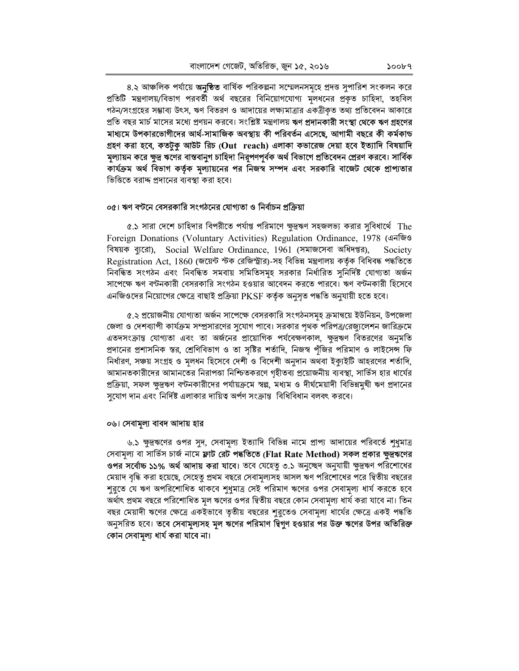৪.২ আঞ্চলিক পর্যায়ে **অনুষ্ঠিত** বার্ষিক পরিকল্পনা সম্মেলনসমূহে প্রদত্ত সুপারিশ সংকলন করে প্রতিটি মন্ত্রণালয়/বিভাগ পরবর্তী অর্থ বছরের বিনিয়োগযোগ্য মূলধনের প্রকৃত চাহিদা, তহবিল গঠন/সংগ্রহের সম্ভাব্য উৎস, ঋণ বিতরণ ও আদায়ের লক্ষ্যমাত্রার একত্রীকৃত তথ্য প্রতিবেদন আকারে প্রতি বছর মার্চ মাসের মধ্যে প্রণয়ন করবে। সংশ্লিষ্ট মন্ত্রণালয় **ঋণ প্রদানকারী সংস্থা থেকে ঋণ গ্রহণের** মাধ্যমে উপকারভোগীদের আর্থ-সামাজিক অবস্থায় কী পরিবর্তন এসেছে, আগামী বছরে কী কর্মকান্ড গ্রহণ করা হবে, কতটুকু আউট রিচ ( $\mathbf{Out}\;\;\mathbf{reach})$  এলাকা কভারেজ দেয়া হবে ইত্যাদি বিষয়াদি মূল্যায়ন করে ক্ষুদ্র ঋণের বাস্তবানুগ চাহিদা নিরূপণপূর্বক অর্থ বিভাগে প্রতিবেদন প্রেরণ করবে। সার্বিক কার্যক্রম অর্থ বিভাগ কর্তৃক মূল্যায়নের পর নিজস্ব সম্পদ এবং সরকারি বাজেট থেকে প্রাপ্যতার ভিত্তিতে বরাদ্দ প্রদানের ব্যবস্থা করা হবে।

#### ০৫। ঋণ বণ্টনে বেসরকারি সংগঠনের যোগ্যতা ও নির্বাচন প্রক্রিয়া

৫.১ সারা দেশে চাহিদার বিপরীতে পর্যাপ্ত পরিমাণে ক্ষুদ্রঋণ সহজলভ্য করার সবিধার্থে  $\,$  The Foreign Donations (Voluntary Activities) Regulation Ordinance, 1978 (अनजिও বিষয়ক ব্যরো), Social Welfare Ordinance, 1961 (সমাজসেবা অধিদপ্তর), Society Registration Act, 1860 (জয়েন্ট স্টক রেজিস্ট্রার)-সহ বিভিন্ন মন্ত্রণালয় কর্তৃক বিধিবদ্ধ পদ্ধতিতে নিবন্ধিত সংগঠন এবং নিবন্ধিত সমবায় সমিতিসমূহ সরকার নির্ধারিত সুনির্দিষ্ট যোগ্যতা অর্জন সাপেক্ষে ঋণ বণ্টনকারী বেসরকারি সংগঠন হওয়ার আবেদন করতে পারবে। ঋণ বণ্টনকারী হিসেবে এনজিওদের নিয়োগের ক্ষেত্রে বাছাই প্রক্রিয়া PKSF কর্তৃক অনুসৃত পদ্ধতি অনুযায়ী হতে হবে।

৫.২ প্রয়োজনীয় যোগ্যতা অর্জন সাপেক্ষে বেসরকারি সংগঠনসমূহ ক্রমান্বয়ে ইউনিয়ন, উপজেলা জেলা ও দেশব্যাপী কার্যক্রম সম্প্রসারণের সুযোগ পাবে। সরকার পৃথক পরিপত্র/রেজ্যুলেশন জারিক্রমে এতদসংক্রান্ত যোগ্যতা এবং তা অর্জনের প্রায়োগিক পর্যবেক্ষণকাল, ক্ষুদ্রঋণ বিতরণের অনুমতি প্রদানের প্রশাসনিক স্তর, শ্রেণিবিভাগ ও তা সৃষ্টির শর্তাদি, নিজস্ব পঁজির পরিমাণ ও লাইসেন্স ফি নির্ধারণ, সঞ্চয় সংগ্রহ ও মূলধন হিসেবে দেশী ও বিদেশী অনুদান অথবা ইক্যইটি আহরণের শর্তাদি, আমানতকারীদের আমানতের নিরাপত্তা নিশ্চিতকরণে গৃহীতব্য প্রয়োজনীয় ব্যবস্থা, সার্ভিস হার ধার্যের প্রক্রিয়া, সফল ক্ষুদ্রঋণ বণ্টনকারীদের পর্যায়ক্রমে স্বল্প, মধ্যম ও দীর্ঘমেয়াদী বিভিন্নমুখী ঋণ প্রদানের সুযোগ দান এবং নির্দিষ্ট এলাকার দায়িত্ব অর্পণ সংক্রান্ত বিধিবিধান বলবৎ করবে।

#### ০৬। সেবামূল্য বাবদ আদায় হার

৬.১ ক্ষুদ্রঋণের ওপর সুদ, সেবামূল্য ইত্যাদি বিভিন্ন নামে প্রাপ্য আদায়ের পরিবর্তে শুধুমাত্র সেবামূল্য বা সার্ভিস চার্জ নামে **ফ্লাট রেট পদ্ধতিতে** (Flat Rate Method) **সকল প্রকার ক্ষুদ্রঋণের** ওপর সর্বোচ্চ ১১% অর্থ আদায় করা যাবে। তবে যেহেতু ৩.১ অনুচ্ছেদ অনুযায়ী ক্ষুদ্রঋণ পরিশোধের মেয়াদ বৃদ্ধি করা হয়েছে, সেহেতু প্রথম বছরে সেবামূল্যসহ আসল ঋণ পরিশোধের পরে দ্বিতীয় বছরের শুরুতে যে ঋণ অপরিশোধিত থাকবে শুধুমাত্র সেই পরিমাণ ঋণের ওপর সেবামূল্য ধার্য করতে হবে অর্থাৎ প্রথম বছরে পরিশোধিত মূল ঋণের ওপর দ্বিতীয় বছরে কোন সেবামূল্য ধার্য করা যাবে না। তিন বছর মেয়াদী ঋণের ক্ষেত্রে একইভাবে তৃতীয় বছরের শুরুতেও সেবামূল্য ধার্যের ক্ষেত্রে একই পদ্ধতি অনুসরিত হবে। **তবে সেবামূল্যসহ মূল ঋণের পরিমাণ দ্বিগুণ হওয়ার পর উক্ত ঋণের উপর অতিরিক্ত** কোন সেবামুল্য ধার্য করা যাবে না।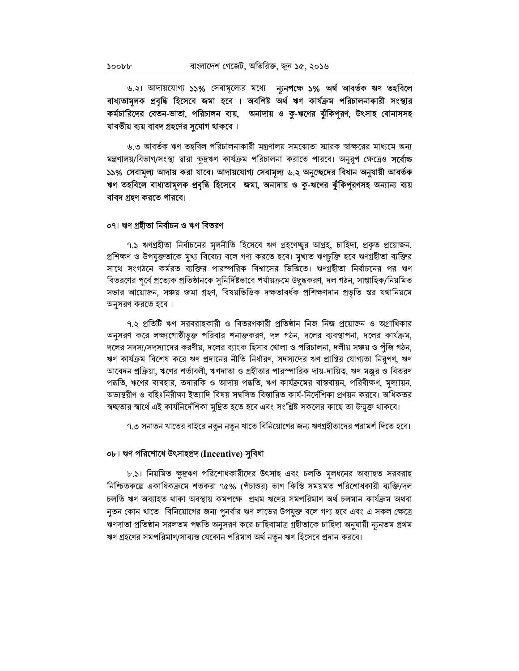৬.২। আদায়যোগ্য **১১%** সেবামূল্যের মধ্যে **ন্যুনপক্ষে ১% অর্থ আবর্তক ঋণ তহবিলে** বাধ্যতামূলক প্রবৃদ্ধি হিসেবে জমা হবে । অবশিষ্ট অর্থ ঋণ কার্যক্রম পরিচালনাকারী সংস্থার কর্মচারিদের বেতন-ভাতা, পরিচালন ব্যয়, অনাদায় ও কু-ঋণের ঝুঁকিপূরণ, উৎসাহ বোনাসসহ যাবতীয় ব্যয় বাবদ গ্রহণের সুযোগ থাকবে।

৬.৩ আবর্তক ঋণ তহবিল পরিচালনাকারী মন্ত্রণালয় সমঝোতা স্মারক স্বাক্ষরের মাধ্যমে অন্য মন্ত্রণালয়/বিভাগ/সংস্থা দ্বারা ক্ষুদ্রঋণ কার্যক্রম পরিচালনা করাতে পারবে। অনুরূপ ক্ষেত্রেও **সর্বোচ্চ** ১১% সেবামূল্য আদায় করা যাবে। আদায়যোগ্য সেবামূল্য ৬.২ অনুচ্ছেদের বিধান অনুযায়ী আবর্তক ঋণ তহবিলে বাধ্যতামূলক প্রবৃদ্ধি হিসেবে জমা, অনাদায় ও কু-ঋণের ঝুঁকিপূরণসহ অন্যান্য ব্যয় বাবদ গ্ৰহণ করতে পারবে।

#### ০৭। ঋণ গ্ৰহীতা নিৰ্বাচন ও ঋণ বিতরণ

৭.১ ঋণগ্রহীতা নির্বাচনের মূলনীতি হিসেবে ঋণ গ্রহণেচ্ছুর আগ্রহ, চাহিদা, প্রকৃত প্রয়োজন, প্রশিক্ষণ ও উপযুক্ততাকে মুখ্য বিবেচ্য বলে গণ্য করতে হবে। মুখ্যত ঋণচুক্তি হবে ঋণগ্রহীতা ব্যক্তির সাথে সংগঠনে কর্মরত ব্যক্তির পারস্পরিক বিশ্বাসের ভিত্তিতে। ঋণগ্রহীতা নির্বাচনের পর ঋণ বিতরণের পূর্বে প্রত্যেক প্রতিষ্ঠানকে সুনির্দিষ্টভাবে পর্যায়ক্রমে উদ্বুদ্ধকরণ, দল গঠন, সাপ্তাহিক/নিয়মিত সভার আয়োজন, সঞ্চয় জমা গ্রহণ, বিষয়ভিত্তিক দক্ষতাবর্ধক প্রশিক্ষণদান প্রভৃতি স্তর যথানিয়মে অনুসরণ করতে হবে।

৭.২ প্রতিটি ঋণ সরবরাহকারী ও বিতরণকারী প্রতিষ্ঠান নিজ নিজ প্রয়োজন ও অগ্রাধিকার অনুসরণ করে লক্ষ্যগোষ্ঠীভুক্ত পরিবার শনাক্তকরণ, দল গঠন, দলের ব্যবস্থাপনা, দলের কার্যক্রম, দলের সদস্য/সদস্যাদের করণীয়, দলের ব্যাংক হিসাব খোলা ও পরিচালনা, দলীয় সঞ্চয় ও পুঁজি গঠন, ঋণ কার্যক্রম বিশেষ করে ঋণ প্রদানের নীতি নির্ধারণ, সদস্যদের ঋণ প্রাপ্তির যোগ্যতা নিরূপণ, ঋণ আবেদন প্রক্রিয়া, ঋণের শর্তাবলী, ঋণদাতা ও গ্রহীতার পারস্পারিক দায়-দায়িত্ব, ঋণ মঞ্জুর ও বিতরণ পদ্ধতি, ঋণের ব্যবহার, তদারকি ও আদায় পদ্ধতি, ঋণ কার্যক্রমের বাস্তবায়ন, পরিবীক্ষণ, মূল্যায়ন, অভ্যন্তরীণ ও বহিঃনিরীক্ষা ইত্যাদি বিষয় সম্বলিত বিস্তারিত কার্য-নির্দেশিকা প্রণয়ন করবে। অধিকতর স্বচ্ছতার স্বার্থে এই কার্যনির্দেশিকা মুদ্রিত হতে হবে এবং সংশ্লিষ্ট সকলের কাছে তা উন্মুক্ত থাকবে।

৭.৩ সনাতন খাতের বাইরে নতুন নতুন খাতে বিনিয়োগের জন্য ঋণগ্রহীতাদের পরামর্শ দিতে হবে।

## ০৮। ঋণ পরিশোধে উৎসাহপ্রদ (Incentive) সুবিধা

৮.১। নিয়মিত ক্ষুদ্রঋণ পরিশোধকারীদের উৎসাহ এবং চলতি মূলধনের অব্যাহত সরবরাহ নিশ্চিতকল্লে একাধিকক্রমে শতকরা ৭৫% (পঁচাত্তর) ভাগ কিস্তি সময়মত পরিশোধকারী ব্যক্তি/দল চলতি ঋণ অব্যাহত থাকা অবস্থায় কমপক্ষে প্রথম ঋণের সমপরিমাণ অর্থ চলমান কার্যক্রম অথবা নুতন কোন খাতে বিনিয়োগের জন্য পুনর্বার ঋণ লাভের উপযুক্ত বলে গণ্য হবে এবং এ সকল ক্ষেত্রে ঋণদাতা প্ৰতিষ্ঠান সরলতম পদ্ধতি অনুসরণ করে চাহিবামাত্র গ্রহীতাকে চাহিদা অনুযায়ী ন্যূনতম প্রথম ঋণ গ্রহণের সমপরিমাণ/সাব্যস্ত যেকোন পরিমাণ অর্থ নতুন ঋণ হিসেবে প্রদান করবে।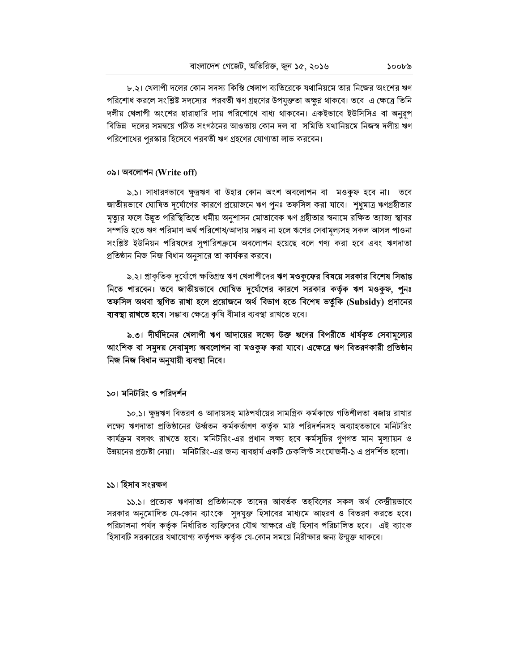৮.২। খেলাপী দলের কোন সদস্য কিস্তি খেলাপ ব্যতিরেকে যথানিয়মে তার নিজের অংশের ঋণ পরিশোধ করলে সংশ্লিষ্ট সদস্যের পরবর্তী ঋণ গ্রহণের উপযুক্ততা অক্ষুণ্ণ থাকবে। তবে এ ক্ষেত্রে তিনি দলীয় খেলাপী অংশের হারাহারি দায় পরিশোধে বাধ্য থাকবেন। একইভাবে ইউসিসিএ বা অনুরূপ বিভিন্ন দলের সমন্বয়ে গঠিত সংগঠনের আওতায় কোন দল বা সমিতি যথানিয়মে নিজস্ব দলীয় ঋণ পরিশোধের পুরস্কার হিসেবে পরবর্তী ঋণ গ্রহণের যোগ্যতা লাভ করবেন।

### ০৯। অবলোপন (Write off)

৯.১। সাধারণভাবে ক্ষুদ্রঋণ বা উহার কোন অংশ অবলোপন বা মওকুফ হবে না। তবে জাতীয়ভাবে ঘোষিত দূর্যোগের কারণে প্রয়োজনে ঋণ পুনঃ তফসিল করা যাবে। শুধুমাত্র ঋণগ্রহীতার মৃত্যুর ফলে উদ্ভূত পরিস্থিতিতে ধর্মীয় অনুশাসন মোতাবেক ঋণ গ্রহীতার স্বনামে রক্ষিত ত্যাজ্য স্থাবর সম্পত্তি হতে ঋণ পরিমাণ অর্থ পরিশোধ/আদায় সম্ভব না হলে ঋণের সেবামূল্যসহ সকল আসল পাওনা সংশ্লিষ্ট ইউনিয়ন পরিষদের সুপারিশক্রমে অবলোপন হয়েছে বলে গণ্য করা হবে এবং ঋণদাতা প্রতিষ্ঠান নিজ নিজ বিধান অনুসারে তা কার্যকর করবে।

৯.২। প্রাকৃতিক দুর্যোগে ক্ষতিগ্রস্ত ঋণ খেলাপীদের ঋণ মওকুফের বিষয়ে সরকার বিশেষ সিদ্ধান্ত নিতে পারবেন। তবে জাতীয়ভাবে ঘোষিত দুর্যোগের কারণে সরকার কর্তৃক ঋণ মওকুষ, পুনঃ তফসিল অথবা স্থগিত রাখা হলে প্রয়োজনে অর্থ বিভাগ হতে বিশেষ ভর্তুকি (Subsidy) প্রদানের ব্যবস্থা রাখতে হবে। সম্ভাব্য ক্ষেত্রে কৃষি বীমার ব্যবস্থা রাখতে হবে।

৯.৩। দীর্ঘদিনের খেলাপী ঋণ আদায়ের লক্ষ্যে উক্ত ঋণের বিপরীতে ধার্যকৃত সেবামূল্যের আংশিক বা সমুদয় সেবামূল্য অবলোপন বা মওকুফ করা যাবে। এক্ষেত্রে ঋণ বিতরণকারী প্রতিষ্ঠান নিজ নিজ বিধান অনুযায়ী ব্যবস্থা নিবে।

## ১০। মনিটরিং ও পরিদর্শন

১০.১। ক্ষুদ্রঋণ বিতরণ ও আদায়সহ মাঠপর্যায়ের সামগ্রিক কর্মকান্ডে গতিশীলতা বজায় রাখার লক্ষ্যে ঋণদাতা প্রতিষ্ঠানের উর্ধ্বতন কর্মকর্তাগণ কর্তৃক মাঠ পরিদর্শনসহ অব্যাহতভাবে মনিটরিং কার্যক্রম বলবৎ রাখতে হবে। মনিটরিং-এর প্রধান লক্ষ্য হবে কর্মসূচির গুণগত মান মূল্যায়ন ও উন্নয়নের প্রচেষ্টা নেয়া। মনিটরিং-এর জন্য ব্যবহার্য একটি চেকলিস্ট সংযোজনী-১ এ প্রদর্শিত হলো।

## ১১। হিসাব সংরক্ষণ

১১.১। প্রত্যেক ঋণদাতা প্রতিষ্ঠানকে তাদের আবর্তক তহবিলের সকল অর্থ কেন্দ্রীয়ভাবে সরকার অনুমোদিত যে-কোন ব্যাংকে সুদযুক্ত হিসাবের মাধ্যমে আহরণ ও বিতরণ করতে হবে। পরিচালনা পর্ষদ কর্তৃক নির্ধারিত ব্যক্তিদের যৌথ স্বাক্ষরে এই হিসাব পরিচালিত হবে। এই ব্যাংক হিসাবটি সরকারের যথাযোগ্য কর্তৃপক্ষ কর্তৃক যে-কোন সময়ে নিরীক্ষার জন্য উন্মুক্ত থাকবে।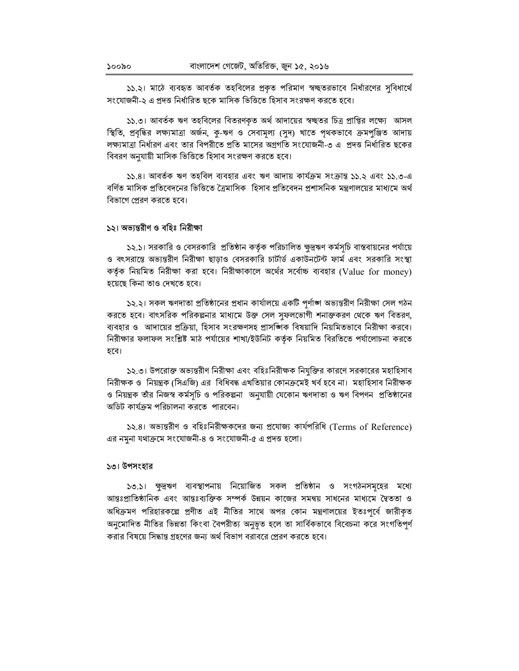১১.২। মাঠে ব্যবহৃত আবর্তক তহবিলের প্রকৃত পরিমাণ স্বচ্ছতরভাবে নির্ধারণের সুবিধার্থে সংযোজনী-২ এ প্রদত্ত নির্ধারিত ছকে মাসিক ভিত্তিতে হিসাব সংরক্ষণ করতে হবে।

১১.৩। আবর্তক ঋণ তহবিলের বিতরণকৃত অর্থ আদায়ের স্বচ্ছতর চিত্র প্রাপ্তির লক্ষ্যে আসল স্থিতি, প্রবৃদ্ধির লক্ষ্যমাত্রা অর্জন, কু-ঋণ ও সেবামূল্য (সুদ) খাতে পৃথকভাবে ক্রমপুঞ্জিত আদায় লক্ষ্যমাত্রা নির্ধারণ এবং তার বিপরীতে প্রতি মাসের অগ্রগতি সংযোজনী-৩ এ প্রদত্ত নির্ধারিত ছকের বিবরণ অনুযায়ী মাসিক ভিত্তিতে হিসাব সংরক্ষণ করতে হবে।

১১.৪। আবর্তক ঋণ তহবিল ব্যবহার এবং ঋণ আদায় কার্যক্রম সংক্রান্ত ১১.২ এবং ১১.৩-এ বর্ণিত মাসিক প্রতিবেদনের ভিত্তিতে ত্রৈমাসিক হিসাব প্রতিবেদন প্রশাসনিক মন্ত্রণালয়ের মাধামে অর্থ বিভাগে প্রেরণ করতে হবে।

### ১২। অভ্যন্তরীণ ও বহিঃ নিরীক্ষা

১২.১। সরকারি ও বেসরকারি প্রতিষ্ঠান কর্তৃক পরিচালিত ক্ষুদ্রঋণ কর্মসূচি বাস্তবায়নের পর্যায়ে ও বৎসরান্তে অভ্যন্তরীণ নিরীক্ষা ছাড়াও বেসরকারি চার্টার্ড একাউনটেন্ট ফার্ম এবং সরকারি সংস্থা কর্তৃক নিয়মিত নিরীক্ষা করা হবে। নিরীক্ষাকালে অর্থের সর্বোচ্চ ব্যবহার (Value for money) হয়েছে কিনা তাও দেখতে হবে।

১২.২। সকল ঋণদাতা প্রতিষ্ঠানের প্রধান কার্যালয়ে একটি পূর্ণাঙ্গ অভ্যন্তরীণ নিরীক্ষা সেল গঠন করতে হবে। বাৎসরিক পরিকল্পনার মাধ্যমে উক্ত সেল সফলভোগী শনাক্তকরণ থেকে ঋণ বিতরণ, ব্যবহার ও আদায়ের প্রক্রিয়া, হিসাব সংরক্ষণসহ প্রাসশ্জিক বিষয়াদি নিয়মিতভাবে নিরীক্ষা করবে। নিরীক্ষার ফলাফল সংশ্লিষ্ট মাঠ পর্যায়ের শাখা/ইউনিট কর্তৃক নিয়মিত বিরতিতে পর্যালোচনা করতে হবে।

১২.৩। উপরোক্ত অভ্যন্তরীণ নিরীক্ষা এবং বহিঃনিরীক্ষক নিযুক্তির কারণে সরকারের মহাহিসাব নিরীক্ষক ও নিয়ন্ত্রক (সিএজি) এর বিধিবদ্ধ এখতিয়ার কোনক্রমেই খর্ব হবে না। মহাহিসাব নিরীক্ষক ও নিয়ন্ত্রক তাঁর নিজস্ব কর্মসূচি ও পরিকল্পনা অনুযায়ী যেকোন ঋণদাতা ও ঋণ বিপণন প্রতিষ্ঠানের অডিট কার্যক্রম পরিচালনা করতে পারবেন।

১২.৪। অভ্যন্তরীণ ও বহিঃনিরীক্ষকদের জন্য প্রযোজ্য কার্যপরিধি (Terms of Reference) এর নমুনা যথাক্রমে সংযোজনী-৪ ও সংযোজনী-৫ এ প্রদত্ত হলো।

## ১৩। উপসংহার

১৩.১। ক্ষুদ্রঋণ ব্যবস্থাপনায় নিয়োজিত সকল প্রতিষ্ঠান ও সংগঠনসমৃহের মধ্যে আন্তঃপ্রাতিষ্ঠানিক এবং আন্তঃব্যক্তিক সম্পর্ক উন্নয়ন কাজের সমন্বয় সাধনের মাধ্যমে দ্বৈততা ও অধিক্রমণ পরিহারকল্পে প্রণীত এই নীতির সাথে অপর কোন মন্ত্রণালয়ের ইতঃপূর্বে জারীকৃত অনুমোদিত নীতির ভিন্নতা কিংবা বৈপরীত্য অনুভূত হলে তা সার্বিকভাবে বিবেচনা করে সংগতিপর্ণ করার বিষয়ে সিদ্ধান্ত গ্রহণের জন্য অর্থ বিভাগ বরাবরে প্রেরণ করতে হবে।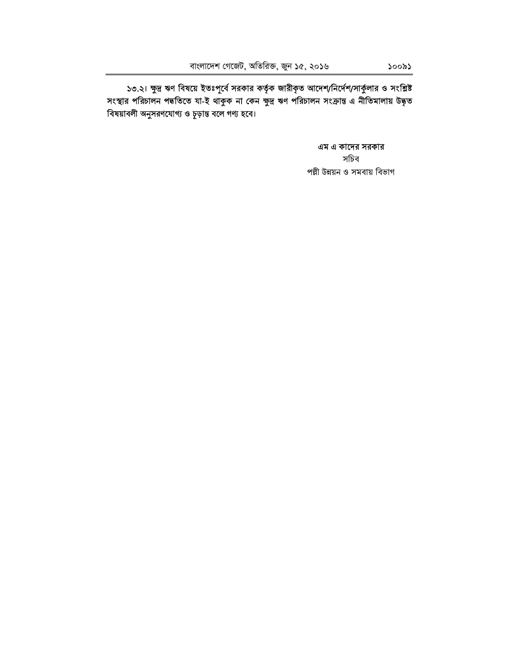১৩.২। ক্ষুদ্র ঋণ বিষয়ে ইতঃপূর্বে সরকার কর্তৃক জারীকৃত আদেশ/নির্দেশ/সার্কুলার ও সংশ্লিষ্ট<br>সংস্থার পরিচালন পদ্ধতিতে যা-ই থাকুক না কেন ক্ষুদ্র ঋণ পরিচালন সংক্রান্ত এ নীতিমালায় উদ্ধৃত বিষয়াবলী অনুসরণযোগ্য ও চূড়ান্ত বলে গণ্য হবে।

> এম এ কাদের সরকার সচিব পল্লী উন্নয়ন ও সমবায় বিভাগ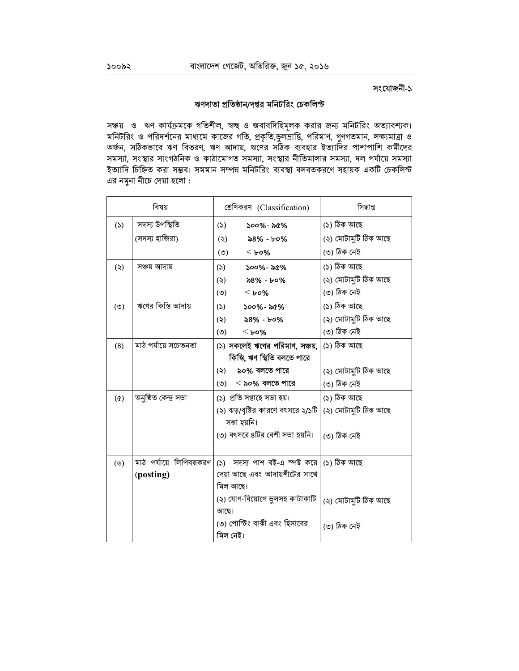# ঋণদাতা প্রতিষ্ঠান/দপ্তর মনিটরিং চেকলিস্ট

সঞ্চয় ও ঋণ কার্যক্রমকে গতিশীল, স্বচ্ছ ও জবাবদিহিমূলক করার জন্য মনিটরিং অত্যাবশ্যক। মনিটরিং ও পরিদর্শনের মাধ্যমে কাজের গতি, প্রকৃতি,ভুলভ্রান্তি, পরিমাণ, গুণগতমান, লক্ষ্যমাত্রা ও<br>অর্জন, সঠিকভাবে ঋণ বিতরণ, ঋণ আদায়, ঋণের সঠিক ব্যবহার ইত্যাদির পাশাপাশি কর্মীদের সমস্যা, সংস্থার সাংগঠনিক ও কাঠামোগত সমস্যা, সংস্থার নীতিমালার সমস্যা, দল পর্যায়ে সমস্যা ইত্যাদি চিহ্নিত করা সম্ভব। সমমান সম্পন্ন মনিটরিং ব্যবস্থা বলবতকরণে সহায়ক একটি চেকলিস্ট এর নমুনা নীচে দেয়া হলো :

|            | বিষয়                    | শ্রেণিকরণ (Classification)                | সিদ্ধান্ত            |  |  |
|------------|--------------------------|-------------------------------------------|----------------------|--|--|
| (5)        | সদস্য উপস্থিতি           | $500\%$ - $56\%$<br>(5)                   | (১) ঠিক আছে          |  |  |
|            | (সদস্য হাজিরা)           | $8\%$ - ৮০%<br>(5)                        | (২) মোটামুটি ঠিক আছে |  |  |
|            |                          | (5)<br>$<$ bo%                            | (৩) ঠিক নেই          |  |  |
| (5)        | সঞ্চয় আদায়             | $500\%$ - $56\%$<br>(5)                   | (১) ঠিক আছে          |  |  |
|            |                          | (5)<br>$88% - 60%$                        | (২) মোটামুটি ঠিক আছে |  |  |
|            |                          | (5)<br>$<$ bo%                            | (৩) ঠিক নেই          |  |  |
| (°)        | ঋণের কিস্তি আদায়        | (5)<br>$500\%$ - ৯৫%                      | (১) ঠিক আছে          |  |  |
|            |                          | (5)<br>৯৪% - ৮০%                          | (২) মোটামুটি ঠিক আছে |  |  |
|            |                          | (5)<br>$<$ bo%                            | (৩) ঠিক নেই          |  |  |
| (8)        | মাঠ পৰ্যায়ে সচেতনতা     | (১) সকলেই ঋণের পরিমাণ, সঞ্চয়,            | (১) ঠিক আছে          |  |  |
|            |                          | কিস্তি, ঋণ স্থিতি বলতে পারে               |                      |  |  |
|            |                          | ৯০% বলতে পারে<br>$(\zeta)$                | (২) মোটামুটি ঠিক আছে |  |  |
|            |                          | $(0)$ < ৯০% বলতে পারে                     | (৩) ঠিক নেই          |  |  |
| $(\delta)$ | অনুষ্ঠিত কেন্দ্ৰ সভা     | (১) প্রতি সপ্তাহে সভা হয়।                | (১) ঠিক আছে          |  |  |
|            |                          | (২) ঝড়/বৃষ্টির কারণে বৎসরে ২/১টি         | (২) মোটামুটি ঠিক আছে |  |  |
|            |                          | সভা হয়নি।                                |                      |  |  |
|            |                          | (৩) বৎসরে ৪টির বেশী সভা হয়নি।            | (৩) ঠিক নেই          |  |  |
|            |                          |                                           |                      |  |  |
| (          | মাঠ পর্যায়ে লিপিবদ্ধকরণ | (১) সদস্য পাশ বই-এ স্পষ্ট করে (১) ঠিক আছে |                      |  |  |
|            | (posting)                | দেয়া আছে এবং আদায়শীটের সাথে             |                      |  |  |
|            |                          | মিল আছে।                                  |                      |  |  |
|            |                          | (২) যোগ-বিয়োগে ভুলসহ কাটাকাটি<br>আছে।    | (২) মোটামুটি ঠিক আছে |  |  |
|            |                          | ৩) পোস্টিং বাকী এবং হিসাবের<br>মিল নেই।   | (৩) ঠিক নেই          |  |  |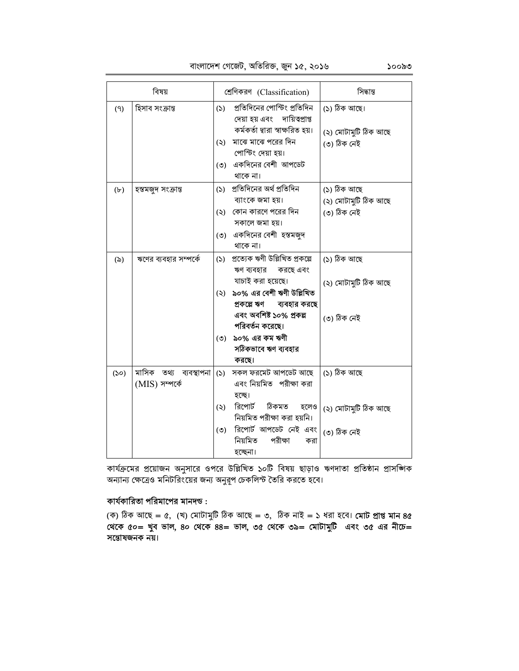# বাংলাদেশ গেজেট, অতিরিক্ত, জুন ১৫, ২০১৬

| বিষয়             |                                          |           | শ্ৰেণিকরণ (Classification)                                                   | সিদ্ধান্ত                           |  |  |
|-------------------|------------------------------------------|-----------|------------------------------------------------------------------------------|-------------------------------------|--|--|
| (9)               | হিসাব সংক্রান্ত                          | (5)       | প্রতিদিনের পোস্টিং প্রতিদিন<br>দেয়া হয় এবং দায়িত্বপ্রাপ্ত                 | (১) ঠিক আছে।                        |  |  |
|                   |                                          | $(\zeta)$ | কৰ্মকৰ্তা দ্বারা স্বাক্ষরিত হয়।<br>মাঝে মাঝে পরের দিন<br>পোস্টিং দেয়া হয়। | (২) মোটামুটি ঠিক আছে<br>(৩) ঠিক নেই |  |  |
|                   |                                          | $(\circ)$ | একদিনের বেশী আপডেট<br>থাকে না।                                               |                                     |  |  |
| $(\mathbf{b})$    | হস্তমজুদ সংক্ৰান্ত                       |           | (১) প্রতিদিনের অর্থ প্রতিদিন<br>ব্যাংকে জমা হয়।                             | (১) ঠিক আছে<br>(২) মোটামুটি ঠিক আছে |  |  |
|                   |                                          | $(\zeta)$ | কোন কারণে পরের দিন<br>সকালে জমা হয়।                                         | (৩) ঠিক নেই                         |  |  |
|                   |                                          | $(\circ)$ | একদিনের বেশী হস্তমজুদ<br>থাকে না।                                            |                                     |  |  |
| $(\delta)$        | ঋণের ব্যবহার সম্পর্কে                    | (5)       | প্ৰত্যেক ঋণী উল্লিখিত প্ৰকল্পে<br>ঋণ ব্যবহার<br>করছে এবং                     | (১) ঠিক আছে                         |  |  |
|                   |                                          | (5)       | যাচাই করা হয়েছে।<br>৯০% এর বেশী ঋণী উল্লিখিত<br>প্ৰকল্পে ঋণ<br>ব্যবহার করছে | (২) মোটামুটি ঠিক আছে                |  |  |
|                   |                                          |           | এবং অবশিষ্ট ১০% প্ৰকল্প<br>পরিবর্তন করেছে।                                   | (৩) ঠিক নেই                         |  |  |
|                   |                                          | $(\circ)$ | ৯০% এর কম ঋণী<br>সঠিকভাবে ঋণ ব্যবহার                                         |                                     |  |  |
| (S <sub>O</sub> ) | মাসিক তথ্য ব্যবস্থাপনা<br>(MIS) সম্পৰ্কে | (5)       | করছে।<br>সকল ফরমেট আপডেট আছে<br>এবং নিয়মিত পরীক্ষা করা                      | (১) ঠিক আছে                         |  |  |
|                   |                                          | (5)       | হচ্ছে।<br>রিপোর্ট ঠিকমত<br>হলেও                                              |                                     |  |  |
|                   |                                          |           | নিয়মিত পরীক্ষা করা হয়নি।                                                   | (২) মোটামুটি ঠিক আছে                |  |  |
|                   |                                          | (5)       | রিপোর্ট আপডেট নেই এবং<br>নিয়মিত<br>পরীক্ষা<br>করা                           | (৩) ঠিক নেই                         |  |  |
|                   |                                          |           | হচ্ছেনা।                                                                     |                                     |  |  |

কার্যক্রমের প্রয়োজন অনুসারে ওপরে উল্লিখিত ১০টি বিষয় ছাড়াও ঋণদাতা প্রতিষ্ঠান প্রাসজিাক जनाना करते व मन्दिर त्यान अनुबूध क्रिकेट टेने के बरा रहे।

# কার্যকারিতা পরিমাপের মানদন্ড :

(ক) ঠিক আছে = ৫, (খ) মোটামুটি ঠিক আছে = ৩, ঠিক নাই = ১ ধরা হবে। **মোট প্রাপ্ত মান ৪৫** থেকে ৫০= খুব ভাল, ৪০ থেকে ৪৪= ভাল, ৩৫ থেকে ৩৯= মোটামুটি এবং ৩৫ এর নীচে= সন্তোষজনক নয়।

১০০৯৩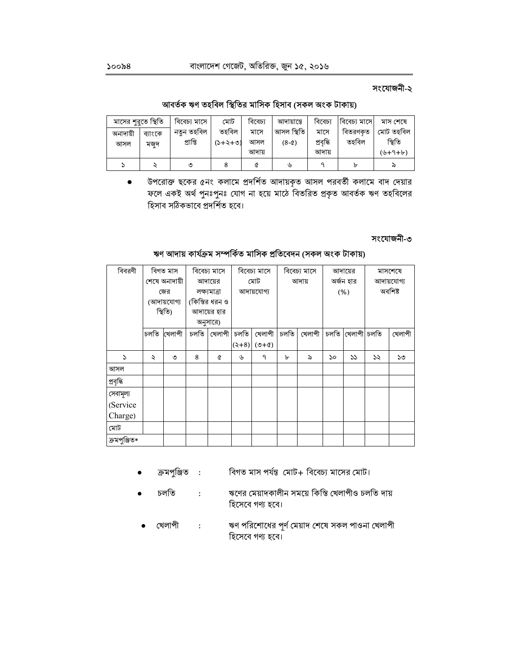আবৰ্তক ঋণ তহবিল স্থিতির মাসিক হিসাব (সকল অংক টাকায়)

| মাসের শুরুতে স্থিতি |         | বিবেচ্য মাসে | মোট       | বিবেচ্য | আদায়ান্তে | বিবেচ্য   | বিবেচ্য মাসে | মাস শেষে  |
|---------------------|---------|--------------|-----------|---------|------------|-----------|--------------|-----------|
| অনাদায়ী            | ব্যাংকে | নতুন তহবিল   | তহবিল     | মাসে    | আসল স্থিতি | মাসে      | বিতরণকৃত     | মোট তহবিল |
| আসল                 | মজুদ    | প্রাপ্তি     | $(5+5+6)$ | আসল     | $(8-c)$    | প্ৰবৃদ্ধি | তহবিল        | স্থিতি    |
|                     |         |              |           | আদায়   |            | আদায়     |              | $(6+9+b)$ |
|                     |         | ৩            |           |         | ৬          |           | ь            | ᠗         |

উপরোক্ত ছকের ৫নং কলামে প্রদর্শিত আদায়কৃত আসল পরবর্তী কলামে বাদ দেয়ার  $\bullet$ ফলে একই অৰ্থ পুনঃপুনঃ যোগ না হয়ে মাঠে বিতরিত প্রকৃত আবর্তক ঋণ তহবিলের হিসাব সঠিকভাবে প্রদর্শিত হবে।

## সংযোজনী-৩

## ঋণ আদায় কাৰ্যক্ৰম সম্পৰ্কিত মাসিক প্ৰতিবেদন (সকল অংক টাকায়)

| বিবরণী       | বিগত মাস             |        | বিবেচ্য মাসে   |              | বিবেচ্য মাসে | বিবেচ্য মাসে  |       | আদায়ের |           | মাসশেষে |            |         |  |
|--------------|----------------------|--------|----------------|--------------|--------------|---------------|-------|---------|-----------|---------|------------|---------|--|
|              | শেষে অনাদায়ী        |        |                | আদায়ের      | মোট          |               | আদায় |         | অৰ্জন হার |         | আদায়যোগ্য |         |  |
|              | জের                  |        |                | লক্ষ্যমাত্ৰা |              | আদায়যোগ্য    |       |         |           | (% )    |            | অবশিষ্ট |  |
|              | (আদায়যোগ্য          |        | (কিস্তির ধরন ও |              |              |               |       |         |           |         |            |         |  |
|              | স্থিতি)              |        | আদায়ের হার    |              |              |               |       |         |           |         |            |         |  |
|              |                      |        | অনুসারে)       |              |              |               |       |         |           |         |            |         |  |
|              | চলতি                 | খেলাপী | চলতি           | খেলাপী       | চলতি         | খেলাপী        | চলতি  | খেলাপী  | চলতি      | খেলাপী  | চলতি       | খেলাপী  |  |
|              |                      |        |                |              |              | $(2+8)$ (9+4) |       |         |           |         |            |         |  |
| S            | $\ddot{\phantom{0}}$ | ৩      | 8              | Q            | ৬            | ٩             | ৮     | ৯       | ১০        | 55      | ১২         | ১৩      |  |
| আসল          |                      |        |                |              |              |               |       |         |           |         |            |         |  |
| প্ৰবৃদ্ধি    |                      |        |                |              |              |               |       |         |           |         |            |         |  |
| সেবামূল্য    |                      |        |                |              |              |               |       |         |           |         |            |         |  |
| (Service     |                      |        |                |              |              |               |       |         |           |         |            |         |  |
| Charge)      |                      |        |                |              |              |               |       |         |           |         |            |         |  |
| মোট          |                      |        |                |              |              |               |       |         |           |         |            |         |  |
| ক্ৰমপুঞ্জিত* |                      |        |                |              |              |               |       |         |           |         |            |         |  |

- ক্ৰমপুঞ্জিত : বিগত মাস পর্যন্ত মোট+ বিবেচ্য মাসের মোট।
- চলতি ঋণের মেয়াদকালীন সময়ে কিস্তি খেলাপীও চলতি দায়  $\sim$  : হিসেবে গণ্য হবে।
	- ঋণ পরিশোধের পূর্ণ মেয়াদ শেষে সকল পাওনা খেলাপী খেলাপী  $\ddot{\cdot}$ হিসেবে গণ্য হবে।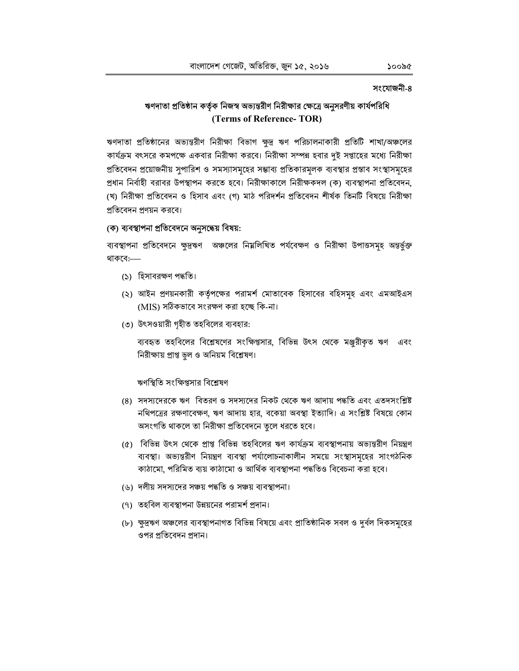# ঋণদাতা প্রতিষ্ঠান কর্তৃক নিজস্ব অভ্যন্তরীণ নিরীক্ষার ক্ষেত্রে অনুসরণীয় কার্যপরিধি (Terms of Reference-TOR)

ঋণদাতা প্রতিষ্ঠানের অভ্যন্তরীণ নিরীক্ষা বিভাগ ক্ষুদ্র ঋণ পরিচালনাকারী প্রতিটি শাখা/অঞ্চলের কার্যক্রম বৎসরে কমপক্ষে একবার নিরীক্ষা করবে। নিরীক্ষা সম্পন্ন হবার দুই সপ্তাহের মধ্যে নিরীক্ষা প্রতিবেদন প্রয়োজনীয় সুপারিশ ও সমস্যাসমূহের সম্ভাব্য প্রতিকারমূলক ব্যবস্থার প্রস্তাব সংস্থাসমূহের প্রধান নির্বাহী বরাবর উপস্থাপন করতে হবে। নিরীক্ষাকালে নিরীক্ষকদল (ক) ব্যবস্থাপনা প্রতিবেদন, (খ) নিরীক্ষা প্রতিবেদন ও হিসাব এবং (গ) মাঠ পরিদর্শন প্রতিবেদন শীর্ষক তিনটি বিষয়ে নিরীক্ষা প্রতিবেদন প্রণয়ন করবে।

# (ক) ব্যবস্থাপনা প্ৰতিবেদনে অনুসন্ধেয় বিষয়:

ব্যবস্থাপনা প্রতিবেদনে ক্ষুদ্রঋণ অঞ্চলের নিম্নলিখিত পর্যবেক্ষণ ও নিরীক্ষা উপাত্তসমূহ অন্তর্ভুক্ত থাকবে:--

- (১) হিসাবরক্ষণ পদ্ধতি।
- (২) আইন প্রণয়নকারী কর্তৃপক্ষের পরামর্শ মোতাবেক হিসাবের বহিসমূহ এবং এমআইএস (MIS) সঠিকভাবে সংরক্ষণ করা হচ্ছে কি-না।
- (৩) উৎসওয়ারী গৃহীত তহবিলের ব্যবহার:

ব্যবহৃত তহবিলের বিশ্লেষণের সংক্ষিপ্তসার, বিভিন্ন উৎস থেকে মঞ্জুরীকৃত ঋণ এবং নিরীক্ষায় প্রাপ্ত ভুল ও অনিয়ম বিশ্লেষণ।

### ঋণস্থিতি সংক্ষিপ্তসার বিশ্লেষণ

- (৪) সদস্যদেরকে ঋণ বিতরণ ও সদস্যদের নিকট থেকে ঋণ আদায় পদ্ধতি এবং এতদসংশ্লিষ্ট নথিপত্রের রক্ষণাবেক্ষণ, ঋণ আদায় হার, বকেয়া অবস্থা ইত্যাদি। এ সংশ্লিষ্ট বিষয়ে কোন অসংগতি থাকলে তা নিরীক্ষা প্রতিবেদনে তুলে ধরতে হবে।
- (৫) বিভিন্ন উৎস থেকে প্রাপ্ত বিভিন্ন তহবিলের ঋণ কার্যক্রম ব্যবস্থাপনায় অভ্যন্তরীণ নিয়ন্ত্রণ ব্যবস্থা। অভ্যন্তরীণ নিয়ন্ত্রণ ব্যবস্থা পর্যালোচনাকালীন সময়ে সংস্থাসমূহের সাংগঠনিক কাঠামো, পরিমিত ব্যয় কাঠামো ও আর্থিক ব্যবস্থাপনা পদ্ধতিও বিবেচনা করা হবে।
- (৬) দলীয় সদস্যদের সঞ্চয় পদ্ধতি ও সঞ্চয় ব্যবস্থাপনা।
- (৭) তহবিল ব্যবস্থাপনা উন্নয়নের পরামর্শ প্রদান।
- (৮) ক্ষুদ্রঋণ অঞ্চলের ব্যবস্থাপনাগত বিভিন্ন বিষয়ে এবং প্রাতিষ্ঠানিক সবল ও দুর্বল দিকসমূহের ওপর প্রতিবেদন প্রদান।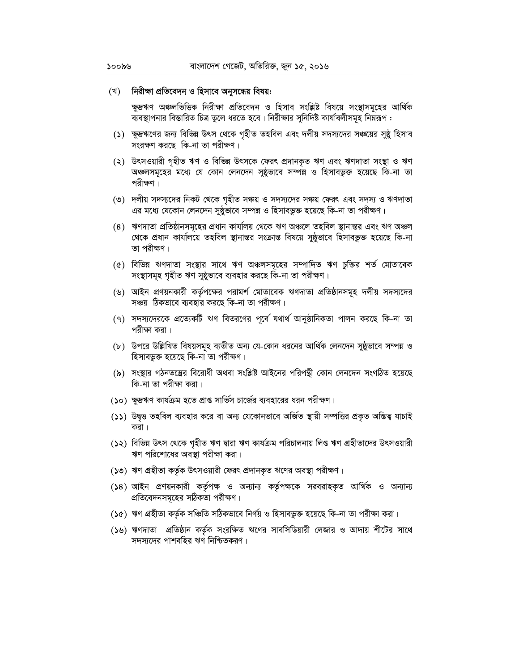#### (খ) নিরীক্ষা প্রতিবেদন ও হিসাবে অনুসন্ধেয় বিষয়:

ক্ষুদ্রঋণ অঞ্চলভিত্তিক নিরীক্ষা প্রতিবেদন ও হিসাব সংশ্লিষ্ট বিষয়ে সংস্থাসমূহের আর্থিক ব্যবস্থাপনার বিস্তারিত চিত্র তুলে ধরতে হবে। নিরীক্ষার সুনির্দিষ্ট কার্যাবলীসমূহ নিম্নরূপ :

- (১) ক্ষুদ্রঋণের জন্য বিভিন্ন উৎস থেকে গৃহীত তহবিল এবং দলীয় সদস্যদের সঞ্চয়ের সুষ্ঠু হিসাব সংরক্ষণ করছে কি-না তা পরীক্ষণ।
- (২) উৎসওয়ারী গৃহীত ঋণ ও বিভিন্ন উৎসকে ফেরৎ প্রদানকৃত ঋণ এবং ঋণদাতা সংস্থা ও ঋণ অঞ্চলসমূহের মধ্যে যে কোন লেনদেন সুষ্ঠুভাবে সম্পন্ন ও হিসাবভুক্ত হয়েছে কি-না তা পরীক্ষণ।
- (৩) দলীয় সদস্যদের নিকট থেকে গৃহীত সঞ্চয় ও সদস্যদের সঞ্চয় ফেরৎ এবং সদস্য ও ঋণদাতা এর মধ্যে যেকোন লেনদেন সুষ্ঠুভাবে সম্পন্ন ও হিসাবভুক্ত হয়েছে কি-না তা পরীক্ষণ।
- (৪) ঋণদাতা প্রতিষ্ঠানসমূহের প্রধান কার্যালয় থেকে ঋণ অঞ্চলে তহবিল স্থানান্তর এবং ঋণ অঞ্চল থেকে প্রধান কার্যালয়ে তহবিল স্থানান্তর সংক্রান্ত বিষয়ে সুষ্ঠুভাবে হিসাবভুক্ত হয়েছে কি-না তা পরীক্ষণ।
- (৫) বিভিন্ন ঋণদাতা সংস্থার সাথে ঋণ অঞ্চলসমূহের সম্পাদিত ঋণ চুক্তির শর্ত মোতাবেক সংস্থাসমূহ গৃহীত ঋণ সুষ্ঠুভাবে ব্যবহার করছে কি-না তা পরীক্ষণ।
- (৬) আইন প্রণয়নকারী কর্তৃপক্ষের পরামর্শ মোতাবেক ঋণদাতা প্রতিষ্ঠানসমূহ দলীয় সদস্যদের সঞ্চয় ঠিকভাবে ব্যবহার করছে কি-না তা পরীক্ষণ।
- (৭) সদস্যদেরকে প্রত্যেকটি ঋণ বিতরণের পূর্বে যথার্থ আনুষ্ঠানিকতা পালন করছে কি-না তা পরীক্ষা করা।
- (৮) উপরে উল্লিখিত বিষয়সমূহ ব্যতীত অন্য যে-কোন ধরনের আর্থিক লেনদেন সুষ্ঠুভাবে সম্পন্ন ও হিসাবভুক্ত হয়েছে কি-না তা পরীক্ষণ।
- (৯) সংস্থার গঠনতন্ত্রের বিরোধী অথবা সংশ্লিষ্ট আইনের পরিপন্থী কোন লেনদেন সংগঠিত হয়েছে কি-না তা পরীক্ষা করা।
- (১০) ক্ষুদ্রঋণ কার্যক্রম হতে প্রাপ্ত সার্ভিস চার্জের ব্যবহারের ধরন পরীক্ষণ।
- (১১) উদ্বৃত্ত তহবিল ব্যবহার করে বা অন্য যেকোনভাবে অর্জিত স্থায়ী সম্পত্তির প্রকৃত অস্তিত্ব যাচাই করা ।
- (১২) বিভিন্ন উৎস থেকে গৃহীত ঋণ দ্বারা ঋণ কার্যক্রম পরিচালনায় লিপ্ত ঋণ গ্রহীতাদের উৎসওয়ারী ঋণ পরিশোধের অবস্থা পরীক্ষা করা।
- (১৩) ঋণ গ্রহীতা কর্তৃক উৎসওয়ারী ফেরৎ প্রদানকৃত ঋণের অবস্থা পরীক্ষণ।
- (১৪) আইন প্রণয়নকারী কর্তৃপক্ষ ও অন্যান্য কর্তৃপক্ষকে সরবরাহকৃত আর্থিক ও অন্যান্য প্রতিবেদনসমূহের সঠিকতা পরীক্ষণ।
- (১৫) ঋণ গ্রহীতা কর্তৃক সঞ্চিতি সঠিকভাবে নির্ণয় ও হিসাবভুক্ত হয়েছে কি-না তা পরীক্ষা করা।
- (১৬) ঋণদাতা প্রতিষ্ঠান কর্তৃক সংরক্ষিত ঋণের সাবসিডিয়ারী লেজার ও আদায় শীটের সাথে সদস্যদের পাশবহির ঋণ নিশ্চিতকরণ।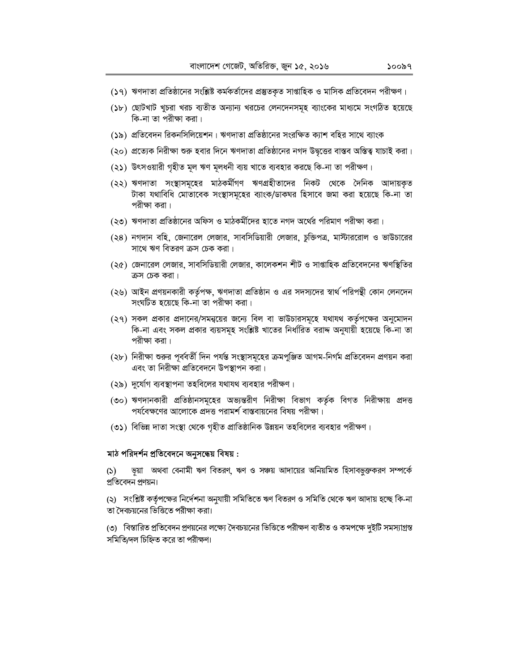- (১৭) ঋণদাতা প্রতিষ্ঠানের সংশ্লিষ্ট কর্মকর্তাদের প্রস্তুতকৃত সাপ্তাহিক ও মাসিক প্রতিবেদন পরীক্ষণ।
- (১৮) ছোটখাট খুচরা খরচ ব্যতীত অন্যান্য খরচের লেনদেনসমূহ ব্যাংকের মাধ্যমে সংগঠিত হয়েছে কি-না তা পরীক্ষা করা।
- (১৯) প্রতিবেদন রিকনসিলিয়েশন। ঋণদাতা প্রতিষ্ঠানের সংরক্ষিত ক্যাশ বহির সাথে ব্যাংক
- (২০) প্রত্যেক নিরীক্ষা শুরু হবার দিনে ঋণদাতা প্রতিষ্ঠানের নগদ উদ্বৃত্তের বাস্তব অস্তিত্ব যাচাই করা।
- (২১) উৎসওয়ারী গৃহীত মূল ঋণ মূলধনী ব্যয় খাতে ব্যবহার করছে কি-না তা পরীক্ষণ।
- (২২) ঋণদাতা সংস্থাসমূহের মাঠকর্মীগণ ঋণগ্রহীতাদের নিকট থেকে দৈনিক আদায়কৃত টাকা যথাবিধি মোতাবেক সংস্থাসমূহের ব্যাংক/ডাকঘর হিসাবে জমা করা হয়েছে কি-না তা পরীক্ষা করা।
- (২৩) ঋণদাতা প্রতিষ্ঠানের অফিস ও মাঠকর্মীদের হাতে নগদ অর্থের পরিমাণ পরীক্ষা করা।
- (২৪) নগদান বহি, জেনারেল লেজার, সাবসিডিয়ারী লেজার, চুক্তিপত্র, মাস্টাররোল ও ভাউচারের সাথে ঋণ বিতরণ ক্রস চেক করা।
- (২৫) জেনারেল লেজার, সাবসিডিয়ারী লেজার, কালেকশন শীট ও সাপ্তাহিক প্রতিবেদনের ঋণস্থিতির ক্রস চেক করা।
- (২৬) আইন প্রণয়নকারী কর্তৃপক্ষ, ঋণদাতা প্রতিষ্ঠান ও এর সদস্যদের স্বার্থ পরিপন্থী কোন লেনদেন সংঘটিত হয়েছে কি-না তা পরীক্ষা করা।
- (২৭) সকল প্রকার প্রদানের/সমন্বয়ের জন্যে বিল বা ভাউচারসমূহে যথাযথ কর্তৃপক্ষের অনুমোদন কি-না এবং সকল প্রকার ব্যয়সমূহ সংশ্লিষ্ট খাতের নির্ধারিত বরাদ্দ অনুযায়ী হয়েছে কি-না তা পরীক্ষা করা।
- (২৮) নিরীক্ষা শুরুর পূর্ববর্তী দিন পর্যন্ত সংস্থাসমূহের ক্রমপুঞ্জিত আগম-নির্গম প্রতিবেদন প্রণয়ন করা এবং তা নিরীক্ষা প্রতিবেদনে উপস্থাপন করা।
- (২৯) দুর্যোগ ব্যবস্থাপনা তহবিলের যথাযথ ব্যবহার পরীক্ষণ।
- (৩০) ঋণদানকারী প্রতিষ্ঠানসমূহের অভ্যন্তরীণ নিরীক্ষা বিভাগ কর্তৃক বিগত নিরীক্ষায় প্রদত্ত পর্যবেক্ষণের আলোকে প্রদত্ত পরামর্শ বাস্তবায়নের বিষয় পরীক্ষা।
- (৩১) বিভিন্ন দাতা সংস্থা থেকে গৃহীত প্রাতিষ্ঠানিক উন্নয়ন তহবিলের ব্যবহার পরীক্ষণ।

## মাঠ পরিদর্শন প্রতিবেদনে অনুসন্ধেয় বিষয় :

ভূয়া অথবা বেনামী ঋণ বিতরণ, ঋণ ও সঞ্চয় আদায়ের অনিয়মিত হিসাবভুক্তকরণ সম্পর্কে  $(5)$ প্রতিবেদন প্রণয়ন।

(২) সংশ্লিষ্ট কর্তৃপক্ষের নির্দেশনা অনুযায়ী সমিতিতে ঋণ বিতরণ ও সমিতি থেকে ঋণ আদায় হচ্ছে কি-না তা দৈবচয়নের ভিত্তিতে পরীক্ষা করা।

(৩) বিস্তারিত প্রতিবেদন প্রণয়নের লক্ষ্যে দৈবচয়নের ভিত্তিতে পরীক্ষণ ব্যতীত ও কমপক্ষে দুইটি সমস্যাগ্রস্ত সমিতি/দল চিহ্নিত করে তা পরীক্ষণ।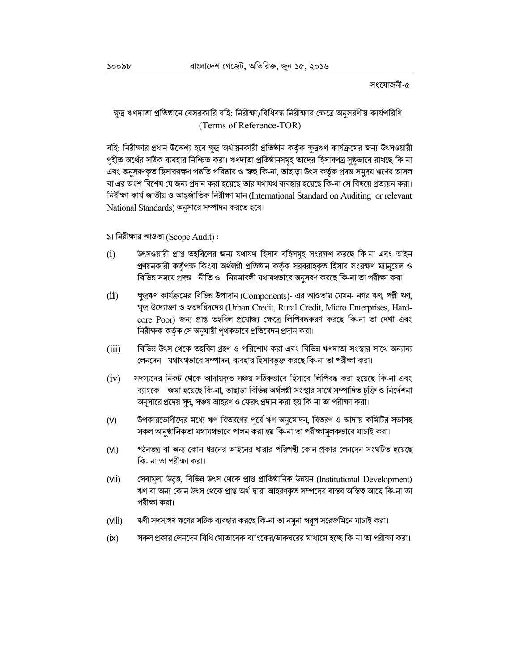# ক্ষুদ্র ঋণদাতা প্রতিষ্ঠানে বেসরকারি বহি: নিরীক্ষা/বিধিবদ্ধ নিরীক্ষার ক্ষেত্রে অনুসরণীয় কার্যপরিধি (Terms of Reference-TOR)

বহি: নিরীক্ষার প্রধান উদ্দেশ্য হবে ক্ষুদ্র অর্থায়নকারী প্রতিষ্ঠান কর্তৃক ক্ষুদ্রঋণ কার্যক্রমের জন্য উৎসওয়ারী গৃহীত অর্থের সঠিক ব্যবহার নিশ্চিত করা। ঋণদাতা প্রতিষ্ঠানসমূহ তাদের হিসাবপত্র সুষ্ঠভাবে রাখছে কি-না এবং অনুসরণকৃত হিসাবরক্ষণ পদ্ধতি পরিষ্কার ও স্বচ্ছ কি-না, তাছাড়া উৎস কর্তৃক প্রদত্ত সমুদয় ঋণের আসল বা এর অংশ বিশেষ যে জন্য প্রদান করা হয়েছে তার যথাযথ ব্যবহার হয়েছে কি-না সে বিষয়ে প্রত্যয়ন করা। নিরীক্ষা কার্য জাতীয় ও আন্তর্জাতিক নিরীক্ষা মান (International Standard on Auditing or relevant National Standards) অনুসারে সম্পাদন করতে হবে।

#### ১। নিরীক্ষার আওতা (Scope Audit):

- উৎসওয়ারী প্রাপ্ত তহবিলের জন্য যথাযথ হিসাব বহিসমহ সংরক্ষণ করছে কি-না এবং আইন  $(i)$ প্রণয়নকারী কর্তৃপক্ষ কিংবা অর্থলয়ী প্রতিষ্ঠান কর্তৃক সরবরাহকৃত হিসাব সংরক্ষণ ম্যানুয়েল ও বিভিন্ন সময়ে প্রদত্ত নীতি ও নিয়মাবলী যথাযথভাবে অনুসরণ করছে কি-না তা পরীক্ষা করা।
- $(ii)$ ক্ষুদ্রঋণ কার্যক্রমের বিভিন্ন উপাদান (Components)- এর আওতায় যেমন- নগর ঋণ, পল্লী ঋণ, ক্ষুদ্র উদ্যোক্তা ও হতদরিদ্রদের (Urban Credit, Rural Credit, Micro Enterprises, Hardcore Poor) জন্য প্রাপ্ত তহবিল প্রযোজ্য ক্ষেত্রে লিপিবদ্ধকরণ করছে কি-না তা দেখা এবং নিরীক্ষক কর্তৃক সে অনুযায়ী পৃথকভাবে প্রতিবেদন প্রদান করা।
- বিভিন্ন উৎস থেকে তহবিল গ্রহণ ও পরিশোধ করা এবং বিভিন্ন ঋণদাতা সংস্থার সাথে অন্যান্য  $(iii)$ লেনদেন যথাযথভাবে সম্পাদন, ব্যবহার হিসাবভূক্ত করছে কি-না তা পরীক্ষা করা।
- সদস্যদের নিকট থেকে আদায়কৃত সঞ্চয় সঠিকভাবে হিসাবে লিপিবদ্ধ করা হয়েছে কি-না এবং  $(iv)$ ব্যাংকে জমা হয়েছে কি-না, তাছাড়া বিভিন্ন অর্থলয়ী সংস্থার সাথে সম্পাদিত চুক্তি ও নির্দেশনা অনুসারে প্রদেয় সুদ, সঞ্চয় আহরণ ও ফেরৎ প্রদান করা হয় কি-না তা পরীক্ষা করা।
- উপকারভোগীদের মধ্যে ঋণ বিতরণের পূর্বে ঋণ অনুমোদন, বিতরণ ও আদায় কমিটির সভাসহ  $(V)$ সকল আনুষ্ঠানিকতা যথাযথভাবে পালন করা হয় কি-না তা পরীক্ষামূলকভাবে যাচাই করা।
- গঠনতন্ত্র বা অন্য কোন ধরনের আইনের ধারার পরিপন্থী কোন প্রকার লেনদেন সংঘটিত হয়েছে  $(V<sup>i</sup>)$ কি- না তা পরীক্ষা করা।
- সেবামল্য উদ্বত্ত, বিভিন্ন উৎস থেকে প্রাপ্ত প্রাতিষ্ঠানিক উন্নয়ন (Institutional Development)  $(V<sup>ii</sup>)$ ঋণ বা অন্য কোন উৎস থেকে প্রাপ্ত অর্থ দ্বারা আহরণকৃত সম্পদের বাস্তব অস্তিত্ব আছে কি-না তা পরীক্ষা করা।
- $(VIII)$ ঋণী সদস্যগণ ঋণের সঠিক ব্যবহার করছে কি-না তা নমুনা স্বরূপ সরেজমিনে যাচাই করা।
- সকল প্রকার লেনদেন বিধি মোতাবেক ব্যাংকের/ডাকঘরের মাধ্যমে হচ্ছে কি-না তা পরীক্ষা করা।  $(X)$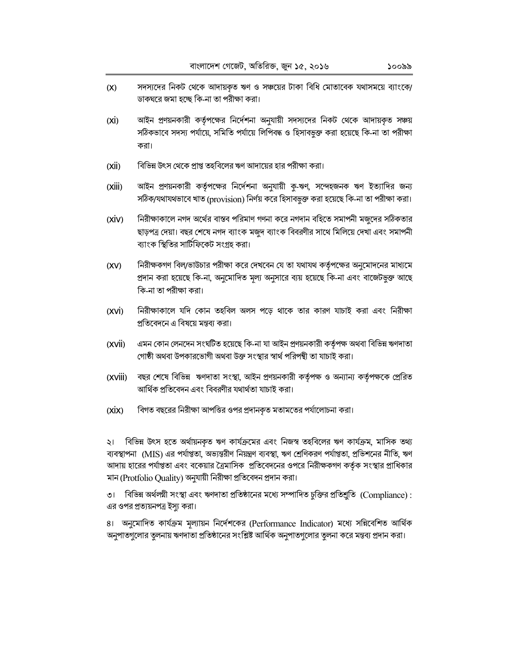- সদস্যদের নিকট থেকে আদায়কৃত ঋণ ও সঞ্চয়ের টাকা বিধি মোতাবেক যথাসময়ে ব্যাংকে/  $(X)$ ডাকঘরে জমা হচ্ছে কি-না তা পরীক্ষা করা।
- $(XI)$ আইন প্রণয়নকারী কর্তৃপক্ষের নির্দেশনা অনুযায়ী সদস্যদের নিকট থেকে আদায়কৃত সঞ্চয় সঠিকভাবে সদস্য পর্যায়ে, সমিতি পর্যায়ে লিপিবদ্ধ ও হিসাবভুক্ত করা হয়েছে কি-না তা পরীক্ষা করা।
- বিভিন্ন উৎস থেকে প্রাপ্ত তহবিলের ঋণ আদায়ের হার পরীক্ষা করা।  $(Xii)$
- আইন প্রণয়নকারী কর্তৃপক্ষের নির্দেশনা অনুযায়ী কু-ঋণ, সন্দেহজনক ঋণ ইত্যাদির জন্য  $(Xiii)$ সঠিক/যথাযথভাবে খাত (provision) নির্ণয় করে হিসাবভুক্ত করা হয়েছে কি-না তা পরীক্ষা করা।
- নিরীক্ষাকালে নগদ অর্থের বাস্তব পরিমাণ গণনা করে নগদান বহিতে সমাপনী মজুদের সঠিকতার  $(XIV)$ ছাড়পত্র দেয়া। বছর শেষে নগদ ব্যাংক মজুদ ব্যাংক বিবরণীর সাথে মিলিয়ে দেখা এবং সমাপনী ব্যাংক স্থিতির সাটিফিকেট সংগ্রহ করা।
- নিরীক্ষকগণ বিল/ভাউচার পরীক্ষা করে দেখবেন যে তা যথাযথ কর্তৃপক্ষের অনুমোদনের মাধ্যমে  $(XV)$ প্রদান করা হয়েছে কি-না, অনুমোদিত মূল্য অনুসারে ব্যয় হয়েছে কি-না এবং বাজেটভুক্ত আছে কি-না তা পরীক্ষা করা।
- $(XVi)$ নিরীক্ষাকালে যদি কোন তহবিল অলস পড়ে থাকে তার কারণ যাচাই করা এবং নিরীক্ষা প্রতিবেদনে এ বিষয়ে মন্তব্য করা।
- এমন কোন লেনদেন সংঘটিত হয়েছে কি-না যা আইন প্রণয়নকারী কর্তৃপক্ষ অথবা বিভিন্ন ঋণদাতা  $(XVii)$ গোষ্ঠী অথবা উপকারভোগী অথবা উক্ত সংস্থার স্বার্থ পরিপন্থী তা যাচাই করা।
- বছর শেষে বিভিন্ন ঋণদাতা সংস্থা, আইন প্রণয়নকারী কর্তৃপক্ষ ও অন্যান্য কর্তৃপক্ষকে প্রেরিত  $(XViii)$ আর্থিক প্রতিবেদন এবং বিবরণীর যথার্থতা যাচাই করা।
- $(X\dot{I}X)$ বিগত বছরের নিরীক্ষা আপত্তির ওপর প্রদানকৃত মতামতের পর্যালোচনা করা।

২। বিভিন্ন উৎস হতে অর্থায়নকৃত ঋণ কার্যক্রমের এবং নিজস্ব তহবিলের ঋণ কার্যক্রম, মাসিক তথ্য ব্যবস্থাপনা (MIS) এর পর্যাপ্ততা, অভ্যন্তরীণ নিয়ন্ত্রণ ব্যবস্থা, ঋণ শ্রেণিকরণ পর্যাপ্ততা, প্রভিশনের নীতি, ঋণ আদায় হারের পর্যাপ্ততা এবং বকেয়ার ত্রৈমাসিক প্রতিবেদনের ওপরে নিরীক্ষকগণ কর্তৃক সংস্থার প্রাধিকার মান (Protfolio Quality) অনুযায়ী নিরীক্ষা প্রতিবেদন প্রদান করা।

৩। বিভিন্ন অর্থলয়ী সংস্থা এবং ঋণদাতা প্রতিষ্ঠানের মধ্যে সম্পাদিত চুক্তির প্রতিশ্রুতি (Compliance): এর ওপর প্রত্যয়নপত্র ইস্য করা।

৪। অনুমোদিত কার্যক্রম মূল্যায়ন নির্দেশকের (Performance Indicator) মধ্যে সন্নিবেশিত আর্থিক 'অনুপাতগুলোর তুলনায় ঋণদাতা প্রতিষ্ঠানের সংশ্লিষ্ট আর্থিক অনুপাতগুলোর তুলনা করে মন্তব্য প্রদান করা।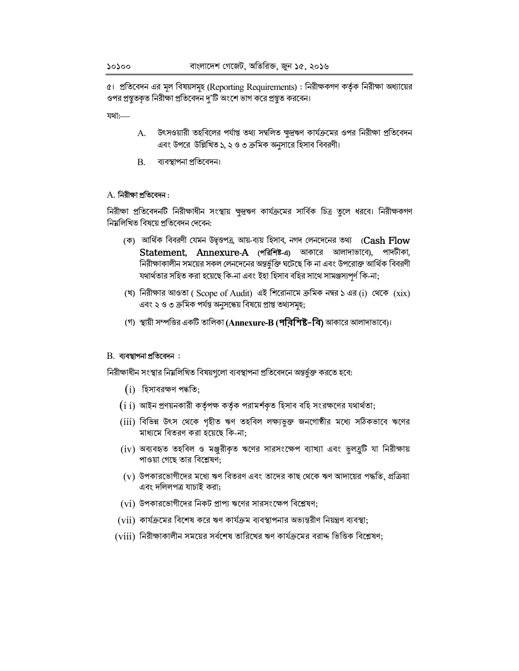৫। প্রতিবেদন এর মূল বিষয়সমূহ (Reporting Requirements) : নিরীক্ষকগণ কর্তৃক নিরীক্ষা অধ্যায়ের ওপর প্রস্তুতকৃত নিরীক্ষা প্রতিবেদন দু'টি অংশে ভাগ করে প্রস্তুত করবেন।

যথা:

- উৎসওয়ারী তহবিলের পর্যাপ্ত তথ্য সম্বলিত ক্ষুদ্রঋণ কার্যক্রমের ওপর নিরীক্ষা প্রতিবেদন A. এবং উপরে উল্লিখিত ১, ২ ও ৩ ক্রমিক অনুসারে হিসাব বিবরণী।
- **B.** ব্যবস্থাপনা প্ৰতিবেদন।

### $A$ . নিরীক্ষা প্রতিবেদন:

নিরীক্ষা প্রতিবেদনটি নিরীক্ষাধীন সংস্থায় ক্ষুদ্রঋণ কার্যক্রমের সার্বিক চিত্র তৃলে ধরবে। নিরীক্ষকগণ নিয়লিখিত বিষয়ে প্ৰতিবেদন দেবেন:

- (ক) আর্থিক বিবরণী যেমন উদ্বৃত্তপত্র, আয়-ব্যয় হিসাব, নগদ লেনদেনের তথ্য (Cash Flow Statement, Annexure-A (পরিশিষ্ট-এ) আকারে আলাদাভাবে), পাদটীকা, নিরীক্ষাকালীন সময়ের সকল লেনদেনের অন্তর্ভুক্তি ঘটেছে কি না এবং উপরোক্ত আর্থিক বিবরণী যথার্থতার সহিত করা হয়েছে কি-না এবং ইহা হিসাব বহির সাথে সামঞ্জস্যপূর্ণ কি-না;
- (খ) নিরীক্ষার আওতা ( Scope of Audit) এই শিরোনামে ক্রমিক নম্বর ১ এর (i) থেকে  $(xix)$ এবং ২ ও ৩ ক্রমিক পর্যন্ত অনুসন্ধেয় বিষয়ে প্রাপ্ত তথ্যসমূহ;
- (গ) স্থায়ী সম্পত্তির একটি তালিকা (Annexure-B (**পরিশিষ্ট–বি)** আকারে আলাদাভাবে)।

#### $B.$  যাবস্থাপনা প্ৰতিবেদন :

নিরীক্ষাধীন সংস্থার নিয়লিখিত বিষয়গুলো ব্যবস্থাপনা প্রতিবেদনে অন্তর্ভুক্ত করতে হবে:

- $(i)$  হিসাবরক্ষণ পদ্ধতি;
- $(\textrm{i}$   $\,$  ) আইন প্রণয়নকারী কর্তৃপক্ষ কর্তৃক পরামর্শকৃত হিসাব বহি সংরক্ষণের যথার্থতা;
- (iii) বিভিন্ন উৎস থেকে গৃহীত ঋণ তহবিল লক্ষ্যভুক্ত জনগোষ্ঠীর মধ্যে সঠিকভাবে ঋণের মাধ্যমে বিতরণ করা হয়েছে কি-না;
- (iv) অব্যবহৃত তহবিল ও মঞ্জুরীকৃত ঋণের সারসংক্ষেপ ব্যাখ্যা এবং ভুলব্রুটি যা নিরীক্ষায় পাওয়া গেছে তার বিশ্লেষণ;
- $(v)$  উপকারভোগীদের মধ্যে ঋণ বিতরণ এবং তাদের কাছ থেকে ঋণ আদায়ের পদ্ধতি, প্রক্রিয়া এবং দলিলপত্র যাচাই করা;
- $(vi)$  উপকারভোগীদের নিকট প্রাপ্য ঋণের সারসংক্ষেপ বিশ্লেষণ;
- (víí) কার্যক্রমের বিশেষ করে ঋণ কার্যক্রম ব্যবস্থাপনার অভ্যন্তরীণ নিয়ন্ত্রণ ব্যবস্থা;
- $(viii)$  নিরীক্ষাকালীন সময়ের সর্বশেষ তারিখের ঋণ কার্যক্রমের বরাদ্দ ভিত্তিক বিশ্লেষণ;